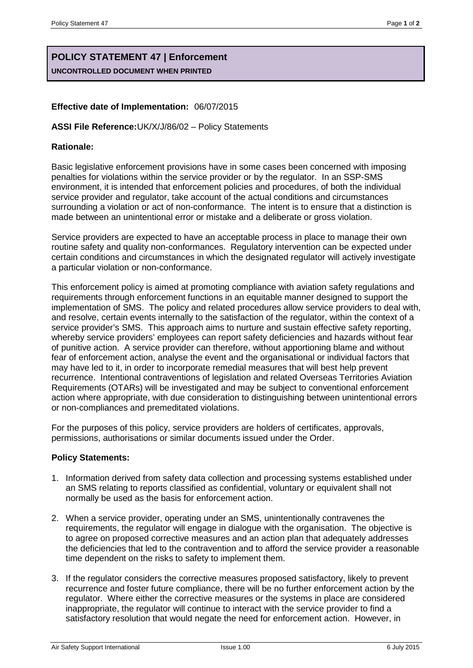# **POLICY STATEMENT 47 | Enforcement UNCONTROLLED DOCUMENT WHEN PRINTED**

## **Effective date of Implementation:** 06/07/2015

#### **ASSI File Reference:**UK/X/J/86/02 – Policy Statements

#### **Rationale:**

Basic legislative enforcement provisions have in some cases been concerned with imposing penalties for violations within the service provider or by the regulator. In an SSP-SMS environment, it is intended that enforcement policies and procedures, of both the individual service provider and regulator, take account of the actual conditions and circumstances surrounding a violation or act of non-conformance. The intent is to ensure that a distinction is made between an unintentional error or mistake and a deliberate or gross violation.

Service providers are expected to have an acceptable process in place to manage their own routine safety and quality non-conformances. Regulatory intervention can be expected under certain conditions and circumstances in which the designated regulator will actively investigate a particular violation or non-conformance.

This enforcement policy is aimed at promoting compliance with aviation safety regulations and requirements through enforcement functions in an equitable manner designed to support the implementation of SMS. The policy and related procedures allow service providers to deal with, and resolve, certain events internally to the satisfaction of the regulator, within the context of a service provider's SMS. This approach aims to nurture and sustain effective safety reporting, whereby service providers' employees can report safety deficiencies and hazards without fear of punitive action. A service provider can therefore, without apportioning blame and without fear of enforcement action, analyse the event and the organisational or individual factors that may have led to it, in order to incorporate remedial measures that will best help prevent recurrence. Intentional contraventions of legislation and related Overseas Territories Aviation Requirements (OTARs) will be investigated and may be subject to conventional enforcement action where appropriate, with due consideration to distinguishing between unintentional errors or non-compliances and premeditated violations.

For the purposes of this policy, service providers are holders of certificates, approvals, permissions, authorisations or similar documents issued under the Order.

### **Policy Statements:**

- 1. Information derived from safety data collection and processing systems established under an SMS relating to reports classified as confidential, voluntary or equivalent shall not normally be used as the basis for enforcement action.
- 2. When a service provider, operating under an SMS, unintentionally contravenes the requirements, the regulator will engage in dialogue with the organisation. The objective is to agree on proposed corrective measures and an action plan that adequately addresses the deficiencies that led to the contravention and to afford the service provider a reasonable time dependent on the risks to safety to implement them.
- 3. If the regulator considers the corrective measures proposed satisfactory, likely to prevent recurrence and foster future compliance, there will be no further enforcement action by the regulator. Where either the corrective measures or the systems in place are considered inappropriate, the regulator will continue to interact with the service provider to find a satisfactory resolution that would negate the need for enforcement action. However, in